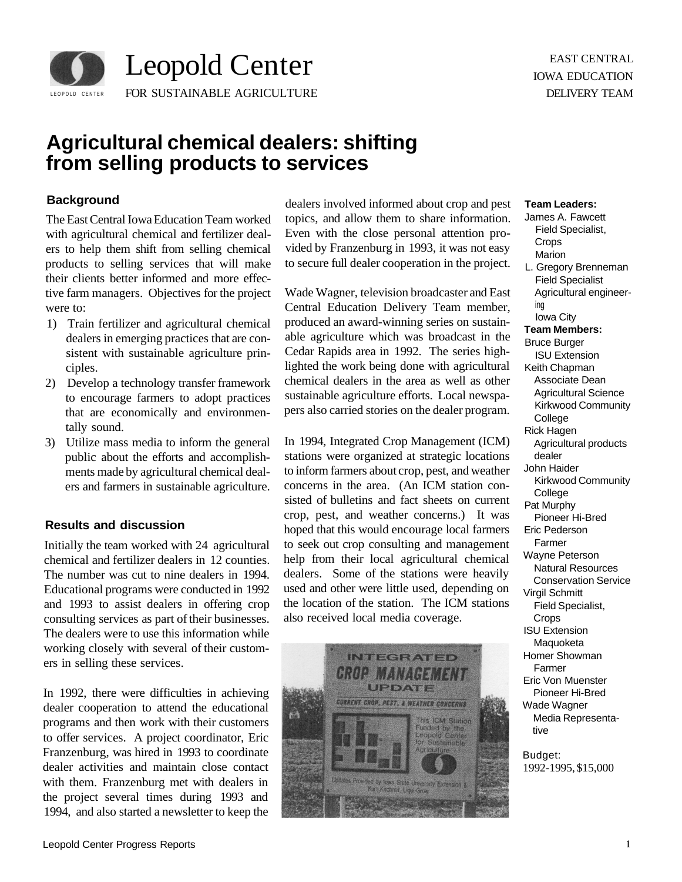

# **Agricultural chemical dealers: shifting from selling products to services**

## **Background**

The East Central Iowa Education Team worked with agricultural chemical and fertilizer dealers to help them shift from selling chemical products to selling services that will make their clients better informed and more effective farm managers. Objectives for the project were to:

- 1) Train fertilizer and agricultural chemical dealers in emerging practices that are consistent with sustainable agriculture principles.
- 2) Develop a technology transfer framework to encourage farmers to adopt practices that are economically and environmentally sound.
- 3) Utilize mass media to inform the general public about the efforts and accomplishments made by agricultural chemical dealers and farmers in sustainable agriculture.

### **Results and discussion**

Initially the team worked with 24 agricultural chemical and fertilizer dealers in 12 counties. The number was cut to nine dealers in 1994. Educational programs were conducted in 1992 and 1993 to assist dealers in offering crop consulting services as part of their businesses. The dealers were to use this information while working closely with several of their customers in selling these services.

In 1992, there were difficulties in achieving dealer cooperation to attend the educational programs and then work with their customers to offer services. A project coordinator, Eric Franzenburg, was hired in 1993 to coordinate dealer activities and maintain close contact with them. Franzenburg met with dealers in the project several times during 1993 and 1994, and also started a newsletter to keep the dealers involved informed about crop and pest topics, and allow them to share information. Even with the close personal attention provided by Franzenburg in 1993, it was not easy to secure full dealer cooperation in the project.

Wade Wagner, television broadcaster and East Central Education Delivery Team member, produced an award-winning series on sustainable agriculture which was broadcast in the Cedar Rapids area in 1992. The series highlighted the work being done with agricultural chemical dealers in the area as well as other sustainable agriculture efforts. Local newspapers also carried stories on the dealer program.

In 1994, Integrated Crop Management (ICM) stations were organized at strategic locations to inform farmers about crop, pest, and weather concerns in the area. (An ICM station consisted of bulletins and fact sheets on current crop, pest, and weather concerns.) It was hoped that this would encourage local farmers to seek out crop consulting and management help from their local agricultural chemical dealers. Some of the stations were heavily used and other were little used, depending on the location of the station. The ICM stations also received local media coverage.



#### **Team Leaders:**

- James A. Fawcett Field Specialist, Crops Marion L. Gregory Brenneman Field Specialist
- Agricultural engineering Iowa City
- **Team Members:**  Bruce Burger ISU Extension Keith Chapman Associate Dean Agricultural Science Kirkwood Community **College** Rick Hagen Agricultural products dealer
- John Haider Kirkwood Community College
- Pat Murphy
- Pioneer Hi-Bred Eric Pederson
- Farmer Wayne Peterson Natural Resources Conservation Service Virgil Schmitt Field Specialist, Crops ISU Extension
- Maquoketa Homer Showman Farmer
- Eric Von Muenster Pioneer Hi-Bred Wade Wagner Media Representative

Budget: 1992-1995, \$15,000